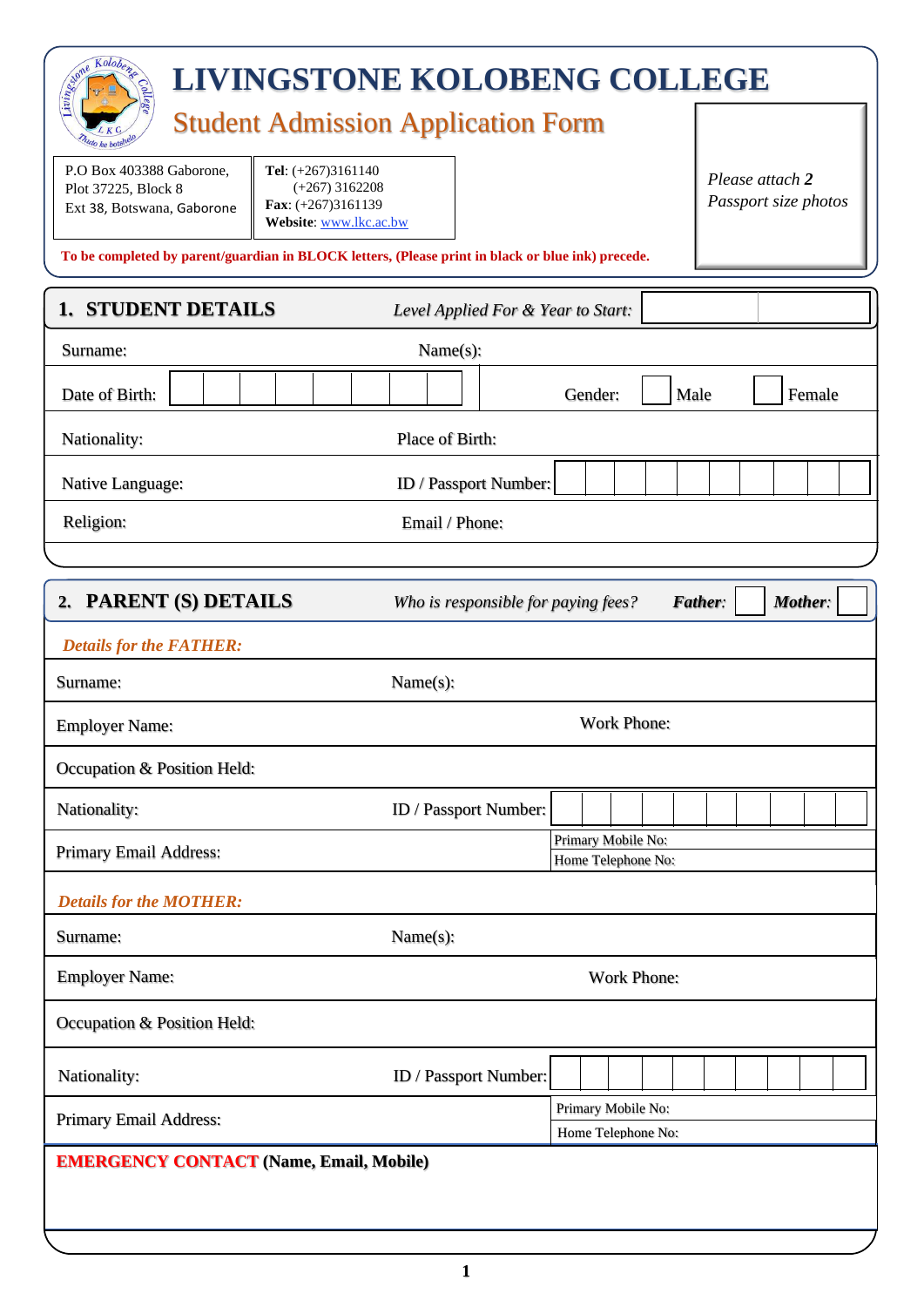| Same Kolobens<br><b>LIVINGSTONE KOLOBENG COLLEGE</b>                                                                                                                      |                                                           |  |  |  |  |
|---------------------------------------------------------------------------------------------------------------------------------------------------------------------------|-----------------------------------------------------------|--|--|--|--|
| <b>Student Admission Application Form</b>                                                                                                                                 |                                                           |  |  |  |  |
| P.O Box 403388 Gaborone,<br>Tel: (+267)3161140<br>$(+267)$ 3162208<br>Plot 37225, Block 8<br>Fax: $(+267)3161139$<br>Ext 38, Botswana, Gaborone<br>Website: www.lkc.ac.bw | Please attach 2<br>Passport size photos                   |  |  |  |  |
| To be completed by parent/guardian in BLOCK letters, (Please print in black or blue ink) precede.                                                                         |                                                           |  |  |  |  |
| <b>1. STUDENT DETAILS</b><br>Level Applied For & Year to Start:                                                                                                           |                                                           |  |  |  |  |
| Name(s):<br>Surname:                                                                                                                                                      |                                                           |  |  |  |  |
| Date of Birth:                                                                                                                                                            | Gender:<br>Male<br>Female                                 |  |  |  |  |
| Place of Birth:<br>Nationality:                                                                                                                                           |                                                           |  |  |  |  |
| Native Language:                                                                                                                                                          | ID / Passport Number:                                     |  |  |  |  |
| Religion:                                                                                                                                                                 | Email / Phone:                                            |  |  |  |  |
|                                                                                                                                                                           |                                                           |  |  |  |  |
| 2. PARENT (S) DETAILS                                                                                                                                                     | Mother:<br>Father:<br>Who is responsible for paying fees? |  |  |  |  |
| <b>Details for the FATHER:</b>                                                                                                                                            |                                                           |  |  |  |  |
| Name(s):<br>Surname:                                                                                                                                                      |                                                           |  |  |  |  |
| <b>Work Phone:</b><br><b>Employer Name:</b>                                                                                                                               |                                                           |  |  |  |  |
| Occupation & Position Held:                                                                                                                                               |                                                           |  |  |  |  |
| Nationality:                                                                                                                                                              | ID / Passport Number:                                     |  |  |  |  |
| Primary Email Address:                                                                                                                                                    | Primary Mobile No:<br>Home Telephone No:                  |  |  |  |  |
| <b>Details for the MOTHER:</b>                                                                                                                                            |                                                           |  |  |  |  |
| Name(s):<br>Surname:                                                                                                                                                      |                                                           |  |  |  |  |
| <b>Employer Name:</b><br>Work Phone:                                                                                                                                      |                                                           |  |  |  |  |
| Occupation & Position Held:                                                                                                                                               |                                                           |  |  |  |  |
| Nationality:                                                                                                                                                              | ID / Passport Number:                                     |  |  |  |  |
| Primary Email Address:                                                                                                                                                    | Primary Mobile No:                                        |  |  |  |  |
| Home Telephone No:<br><b>EMERGENCY CONTACT (Name, Email, Mobile)</b>                                                                                                      |                                                           |  |  |  |  |
|                                                                                                                                                                           |                                                           |  |  |  |  |
|                                                                                                                                                                           |                                                           |  |  |  |  |

**1**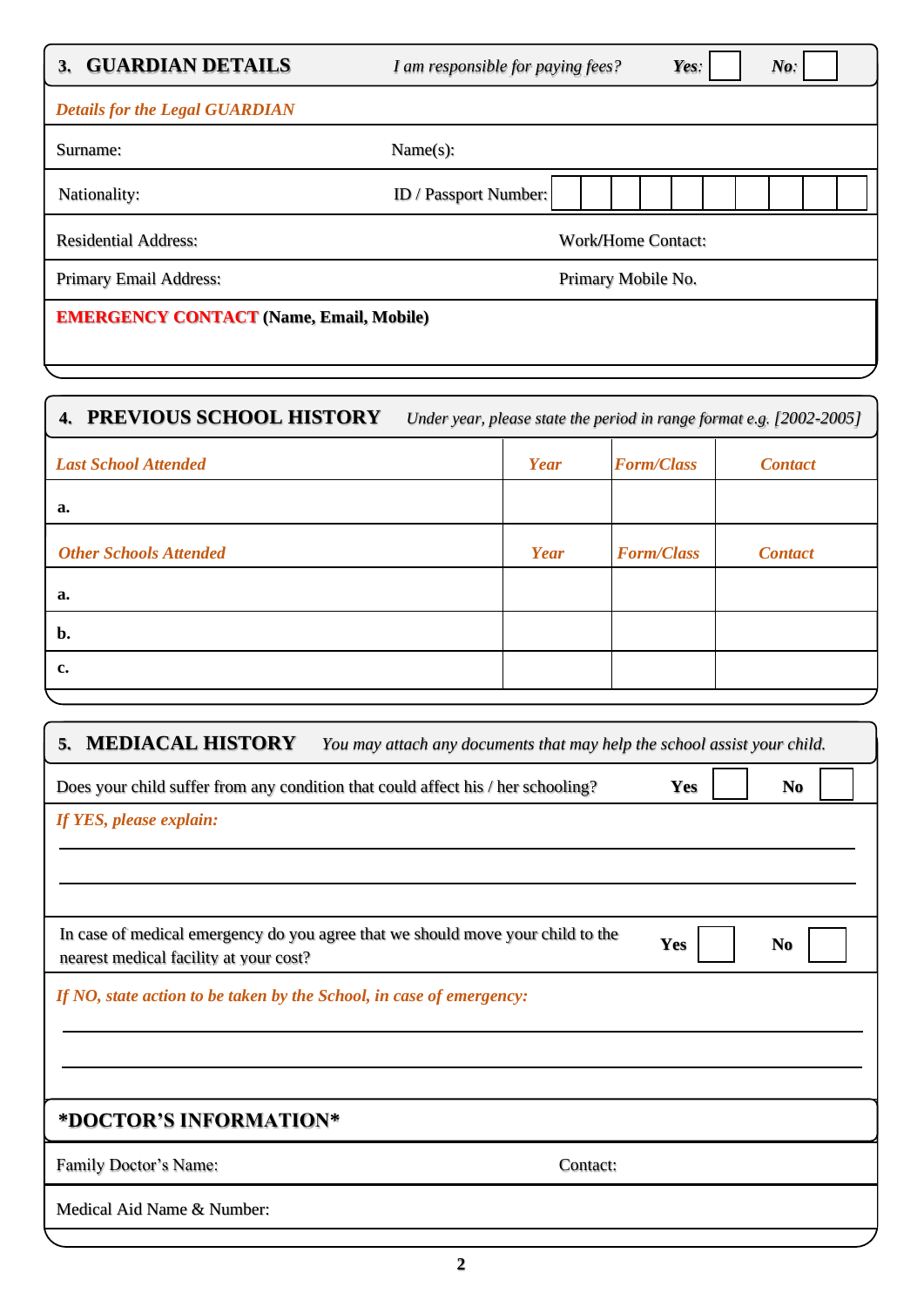| <b>GUARDIAN DETAILS</b><br>3.                  | Yes:<br>$N_{0}$ :<br>I am responsible for paying fees? |  |
|------------------------------------------------|--------------------------------------------------------|--|
| <b>Details for the Legal GUARDIAN</b>          |                                                        |  |
| Surname:                                       | Name(s):                                               |  |
| Nationality:                                   | ID / Passport Number:                                  |  |
| <b>Residential Address:</b>                    | <b>Work/Home Contact:</b>                              |  |
| <b>Primary Email Address:</b>                  | Primary Mobile No.                                     |  |
| <b>EMERGENCY CONTACT (Name, Email, Mobile)</b> |                                                        |  |

# **4. PREVIOUS SCHOOL HISTORY** *Under year, please state the period in range format e.g. [2002-2005] Last School Attended Year Form/Class Contact* **a.** *Other Schools Attended Year Form/Class Contact* **a. b. c.**

| <b>MEDIACAL HISTORY</b><br>5.<br>You may attach any documents that may help the school assist your child.                 |     |                |  |  |
|---------------------------------------------------------------------------------------------------------------------------|-----|----------------|--|--|
| Does your child suffer from any condition that could affect his / her schooling?<br>Yes                                   |     |                |  |  |
| If YES, please explain:                                                                                                   |     |                |  |  |
|                                                                                                                           |     |                |  |  |
|                                                                                                                           |     |                |  |  |
| In case of medical emergency do you agree that we should move your child to the<br>nearest medical facility at your cost? | Yes | N <sub>0</sub> |  |  |
| If NO, state action to be taken by the School, in case of emergency:                                                      |     |                |  |  |
|                                                                                                                           |     |                |  |  |
|                                                                                                                           |     |                |  |  |
| *DOCTOR'S INFORMATION*                                                                                                    |     |                |  |  |
| Family Doctor's Name:<br>Contact:                                                                                         |     |                |  |  |
| Medical Aid Name & Number:                                                                                                |     |                |  |  |
|                                                                                                                           |     |                |  |  |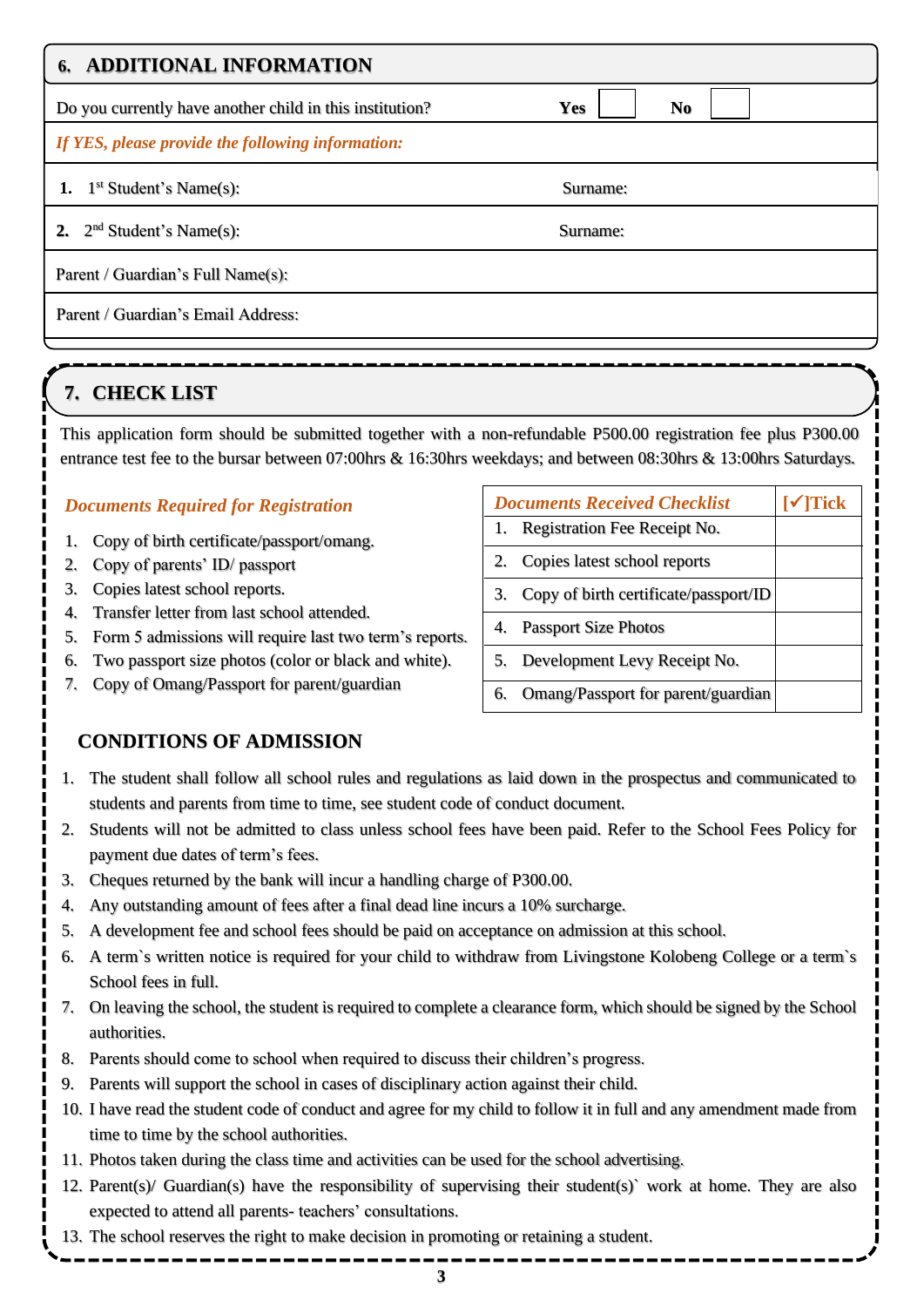| 6. ADDITIONAL INFORMATION                                |                       |
|----------------------------------------------------------|-----------------------|
| Do you currently have another child in this institution? | Yes<br>N <sub>0</sub> |
| If YES, please provide the following information:        |                       |
| 1. $1^{st}$ Student's Name(s):                           | Surname:              |
| 2. $2nd Student's Name(s):$                              | Surname:              |
| Parent / Guardian's Full Name(s):                        |                       |
| Parent / Guardian's Email Address:                       |                       |
|                                                          |                       |

### **7. CHECK LIST**

This application form should be submitted together with a non-refundable P500.00 registration fee plus P300.00 entrance test fee to the bursar between 07:00hrs & 16:30hrs weekdays; and between 08:30hrs & 13:00hrs Saturdays.

#### *Documents Required for Registration*

- 1. Copy of birth certificate/passport/omang.
- 2. Copy of parents' ID/ passport
- 3. Copies latest school reports.
- 4. Transfer letter from last school attended.
- 5. Form 5 admissions will require last two term's reports.
- 6. Two passport size photos (color or black and white).
- 7. Copy of Omang/Passport for parent/guardian

#### **CONDITIONS OF ADMISSION**

#### 1. The student shall follow all school rules and regulations as laid down in the prospectus and communicated to students and parents from time to time, see student code of conduct document.

- 2. Students will not be admitted to class unless school fees have been paid. Refer to the School Fees Policy for payment due dates of term's fees.
- 3. Cheques returned by the bank will incur a handling charge of P300.00.
- 4. Any outstanding amount of fees after a final dead line incurs a 10% surcharge.
- 5. A development fee and school fees should be paid on acceptance on admission at this school.
- 6. A term`s written notice is required for your child to withdraw from Livingstone Kolobeng College or a term`s School fees in full.
- 7. On leaving the school, the student is required to complete a clearance form, which should be signed by the School authorities.
- 8. Parents should come to school when required to discuss their children's progress.
- 9. Parents will support the school in cases of disciplinary action against their child.
- 10. I have read the student code of conduct and agree for my child to follow it in full and any amendment made from time to time by the school authorities.
- 11. Photos taken during the class time and activities can be used for the school advertising.
- 12. Parent(s)/ Guardian(s) have the responsibility of supervising their student(s)` work at home. They are also expected to attend all parents- teachers' consultations.
- 13. The school reserves the right to make decision in promoting or retaining a student.

## *Documents Received Checklist* **[**✓**]Tick** 1. Registration Fee Receipt No.

- 2. Copies latest school reports
- 3. Copy of birth certificate/passport/ID
- 4. Passport Size Photos
- 5. Development Levy Receipt No.
- 6. Omang/Passport for parent/guardian